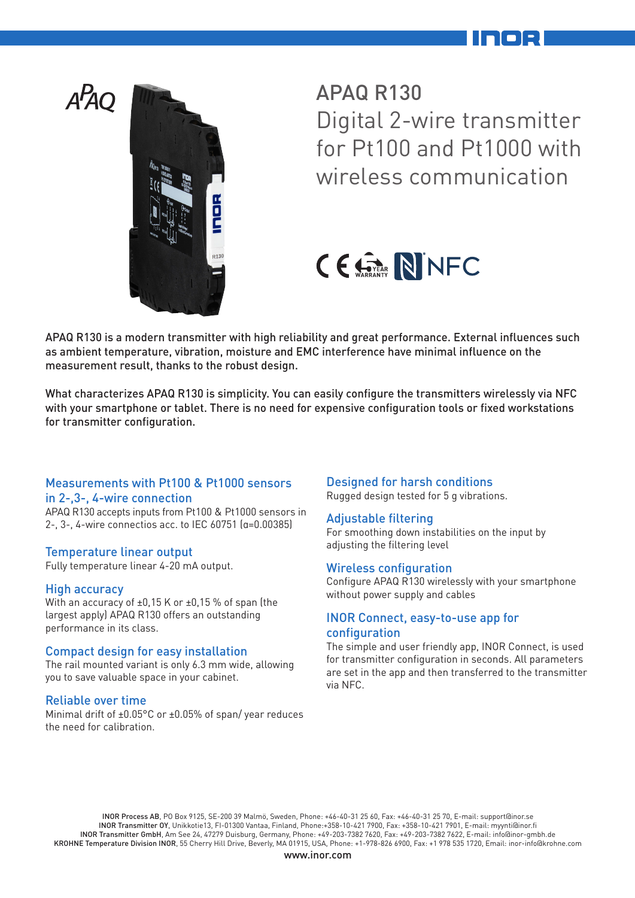



APAQ R130 Digital 2-wire transmitter for Pt100 and Pt1000 with wireless communication

# CE STRANTY NINFC

APAQ R130 is a modern transmitter with high reliability and great performance. External influences such as ambient temperature, vibration, moisture and EMC interference have minimal influence on the measurement result, thanks to the robust design.

What characterizes APAQ R130 is simplicity. You can easily configure the transmitters wirelessly via NFC with your smartphone or tablet. There is no need for expensive configuration tools or fixed workstations for transmitter configuration.

#### Measurements with Pt100 & Pt1000 sensors in 2-,3-, 4-wire connection

APAQ R130 accepts inputs from Pt100 & Pt1000 sensors in 2-, 3-, 4-wire connectios acc. to IEC 60751 (α=0.00385)

### Temperature linear output

Fully temperature linear 4-20 mA output.

### High accuracy

With an accuracy of ±0,15 K or ±0,15 % of span (the largest apply) APAQ R130 offers an outstanding performance in its class.

#### Compact design for easy installation

The rail mounted variant is only 6.3 mm wide, allowing you to save valuable space in your cabinet.

#### Reliable over time

Minimal drift of ±0.05°C or ±0.05% of span/ year reduces the need for calibration.

#### Designed for harsh conditions

Rugged design tested for 5 g vibrations.

#### Adjustable filtering

For smoothing down instabilities on the input by adiusting the filtering level

#### Wireless configuration

Configure APAQ R130 wirelessly with your smartphone without power supply and cables

#### INOR Connect, easy-to-use app for configuration

The simple and user friendly app, INOR Connect, is used for transmitter configuration in seconds. All parameters are set in the app and then transferred to the transmitter via NFC.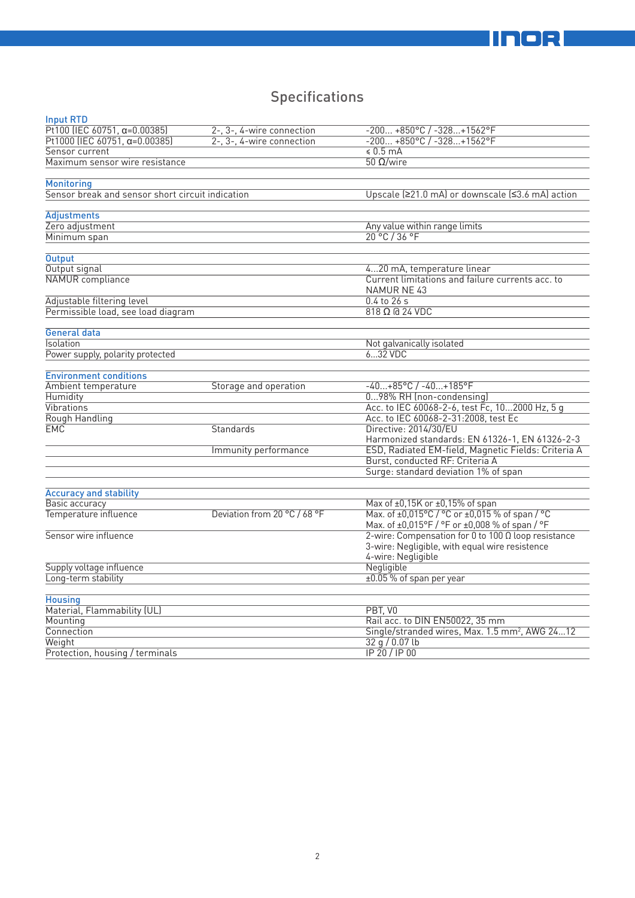## **Specifications**

| <b>Input RTD</b>                                 |                              |                                                                                                  |
|--------------------------------------------------|------------------------------|--------------------------------------------------------------------------------------------------|
| Pt100 (IEC 60751, $\alpha = 0.00385$ )           | 2-, 3-, 4-wire connection    | $-200+850°C/ -328+1562°F$                                                                        |
| Pt1000 (IEC 60751, $\alpha = 0.00385$ )          | 2-, 3-, 4-wire connection    | $-200+850°C / -328+1562°C$                                                                       |
| Sensor current                                   |                              | \$0.5 mA                                                                                         |
| Maximum sensor wire resistance                   |                              | $50$ Ω/wire                                                                                      |
|                                                  |                              |                                                                                                  |
| <b>Monitoring</b>                                |                              |                                                                                                  |
| Sensor break and sensor short circuit indication |                              | Upscale (≥21.0 mA) or downscale (≤3.6 mA) action                                                 |
| Adjustments                                      |                              |                                                                                                  |
| Zero adjustment                                  |                              | Any value within range limits                                                                    |
| Minimum span                                     |                              | 20 °C / 36 °F                                                                                    |
|                                                  |                              |                                                                                                  |
| <b>Output</b>                                    |                              |                                                                                                  |
| Output signal                                    |                              | 420 mA, temperature linear                                                                       |
| NAMUR compliance                                 |                              | Current limitations and failure currents acc. to<br>NAMUR NE 43                                  |
| Adjustable filtering level                       |                              | $0.4$ to $26$ s                                                                                  |
| Permissible load, see load diagram               |                              | $818$ $\Omega$ @ 24 VDC                                                                          |
|                                                  |                              |                                                                                                  |
| <b>General data</b>                              |                              |                                                                                                  |
| Isolation                                        |                              | Not galvanically isolated                                                                        |
| Power supply, polarity protected                 |                              | 632 VDC                                                                                          |
| <b>Environment conditions</b>                    |                              |                                                                                                  |
| Ambient temperature                              | Storage and operation        | $-40+85$ °C / $-40+185$ °F                                                                       |
| Humidity                                         |                              | 098% RH (non-condensing)                                                                         |
| Vibrations                                       |                              | Acc. to IEC 60068-2-6, test Fc, 102000 Hz, 5 g                                                   |
| Rough Handling                                   |                              | Acc. to IEC 60068-2-31:2008, test Ec                                                             |
| EMC                                              | Standards                    | Directive: 2014/30/EU                                                                            |
|                                                  |                              | Harmonized standards: EN 61326-1, EN 61326-2-3                                                   |
|                                                  | Immunity performance         | ESD, Radiated EM-field, Magnetic Fields: Criteria A                                              |
|                                                  |                              | Burst, conducted RF: Criteria A                                                                  |
|                                                  |                              | Surge: standard deviation 1% of span                                                             |
|                                                  |                              |                                                                                                  |
| <b>Accuracy and stability</b>                    |                              |                                                                                                  |
| Basic accuracy                                   |                              | Max of ±0,15K or ±0,15% of span                                                                  |
| Temperature influence                            | Deviation from 20 °C / 68 °F | Max. of ±0,015°C / °C or ±0,015 % of span / °C<br>Max. of ±0,015°F / °F or ±0,008 % of span / °F |
| Sensor wire influence                            |                              | 2-wire: Compensation for 0 to 100 $\Omega$ loop resistance                                       |
|                                                  |                              | 3-wire: Negligible, with equal wire resistence                                                   |
|                                                  |                              | 4-wire: Negligible                                                                               |
| Supply voltage influence                         |                              | Negligible                                                                                       |
| Long-term stability                              |                              | ±0.05 % of span per year                                                                         |
|                                                  |                              |                                                                                                  |
| <b>Housing</b>                                   |                              |                                                                                                  |
| Material, Flammability (UL)                      |                              | PBT, VO                                                                                          |
| Mounting                                         |                              | Rail acc. to DIN EN50022, 35 mm                                                                  |
| Connection                                       |                              | Single/stranded wires, Max. 1.5 mm <sup>2</sup> , AWG 2412                                       |
| Weight                                           |                              | 32q/0.07lb                                                                                       |
| Protection, housing / terminals                  |                              | IP 20 / IP 00                                                                                    |